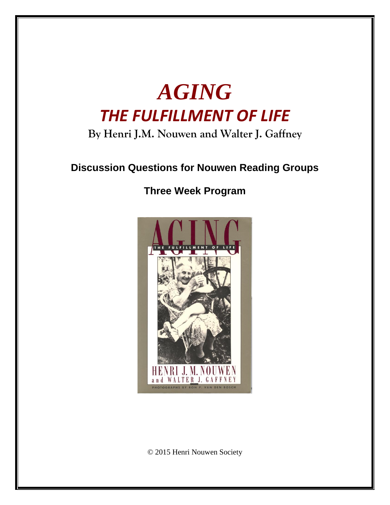

# **By Henri J.M. Nouwen and Walter J. Gaffney**

# **Discussion Questions for Nouwen Reading Groups**

## **Three Week Program**



© 2015 Henri Nouwen Society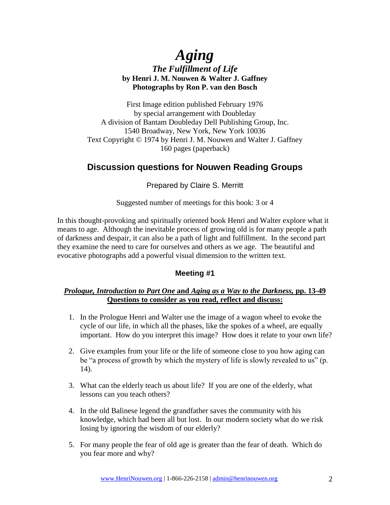## *Aging The Fulfillment of Life* **by Henri J. M. Nouwen & Walter J. Gaffney Photographs by Ron P. van den Bosch**

First Image edition published February 1976 by special arrangement with Doubleday A division of Bantam Doubleday Dell Publishing Group, Inc. 1540 Broadway, New York, New York 10036 Text Copyright © 1974 by Henri J. M. Nouwen and Walter J. Gaffney 160 pages (paperback)

### **Discussion questions for Nouwen Reading Groups**

Prepared by Claire S. Merritt

Suggested number of meetings for this book: 3 or 4

In this thought-provoking and spiritually oriented book Henri and Walter explore what it means to age. Although the inevitable process of growing old is for many people a path of darkness and despair, it can also be a path of light and fulfillment. In the second part they examine the need to care for ourselves and others as we age. The beautiful and evocative photographs add a powerful visual dimension to the written text.

### **Meeting #1**

#### *Prologue, Introduction to Part One* **and** *Aging as a Way to the Darkness,* **pp. 13-49 Questions to consider as you read, reflect and discuss:**

- 1. In the Prologue Henri and Walter use the image of a wagon wheel to evoke the cycle of our life, in which all the phases, like the spokes of a wheel, are equally important. How do you interpret this image? How does it relate to your own life?
- 2. Give examples from your life or the life of someone close to you how aging can be "a process of growth by which the mystery of life is slowly revealed to us" (p. 14).
- 3. What can the elderly teach us about life? If you are one of the elderly, what lessons can you teach others?
- 4. In the old Balinese legend the grandfather saves the community with his knowledge, which had been all but lost. In our modern society what do we risk losing by ignoring the wisdom of our elderly?
- 5. For many people the fear of old age is greater than the fear of death. Which do you fear more and why?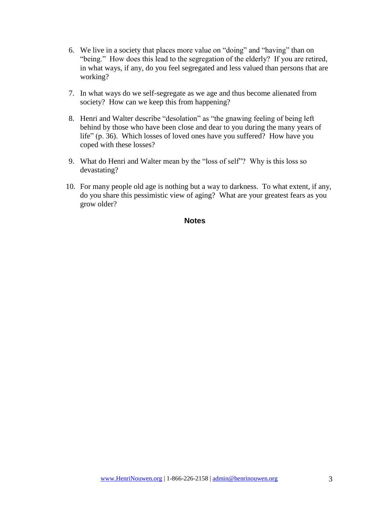- 6. We live in a society that places more value on "doing" and "having" than on "being." How does this lead to the segregation of the elderly? If you are retired, in what ways, if any, do you feel segregated and less valued than persons that are working?
- 7. In what ways do we self-segregate as we age and thus become alienated from society? How can we keep this from happening?
- 8. Henri and Walter describe "desolation" as "the gnawing feeling of being left behind by those who have been close and dear to you during the many years of life" (p. 36). Which losses of loved ones have you suffered? How have you coped with these losses?
- 9. What do Henri and Walter mean by the "loss of self"? Why is this loss so devastating?
- 10. For many people old age is nothing but a way to darkness. To what extent, if any, do you share this pessimistic view of aging? What are your greatest fears as you grow older?

#### **Notes**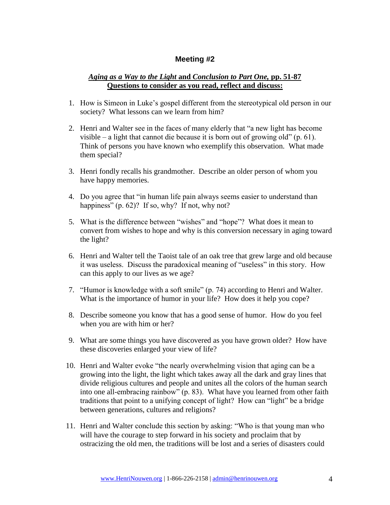#### **Meeting #2**

#### *Aging as a Way to the Light* **and** *Conclusion to Part One,* **pp. 51-87 Questions to consider as you read, reflect and discuss:**

- 1. How is Simeon in Luke's gospel different from the stereotypical old person in our society? What lessons can we learn from him?
- 2. Henri and Walter see in the faces of many elderly that "a new light has become visible – a light that cannot die because it is born out of growing old" (p. 61). Think of persons you have known who exemplify this observation. What made them special?
- 3. Henri fondly recalls his grandmother. Describe an older person of whom you have happy memories.
- 4. Do you agree that "in human life pain always seems easier to understand than happiness" (p. 62)? If so, why? If not, why not?
- 5. What is the difference between "wishes" and "hope"? What does it mean to convert from wishes to hope and why is this conversion necessary in aging toward the light?
- 6. Henri and Walter tell the Taoist tale of an oak tree that grew large and old because it was useless. Discuss the paradoxical meaning of "useless" in this story. How can this apply to our lives as we age?
- 7. "Humor is knowledge with a soft smile" (p. 74) according to Henri and Walter. What is the importance of humor in your life? How does it help you cope?
- 8. Describe someone you know that has a good sense of humor. How do you feel when you are with him or her?
- 9. What are some things you have discovered as you have grown older? How have these discoveries enlarged your view of life?
- 10. Henri and Walter evoke "the nearly overwhelming vision that aging can be a growing into the light, the light which takes away all the dark and gray lines that divide religious cultures and people and unites all the colors of the human search into one all-embracing rainbow" (p. 83). What have you learned from other faith traditions that point to a unifying concept of light? How can "light" be a bridge between generations, cultures and religions?
- 11. Henri and Walter conclude this section by asking: "Who is that young man who will have the courage to step forward in his society and proclaim that by ostracizing the old men, the traditions will be lost and a series of disasters could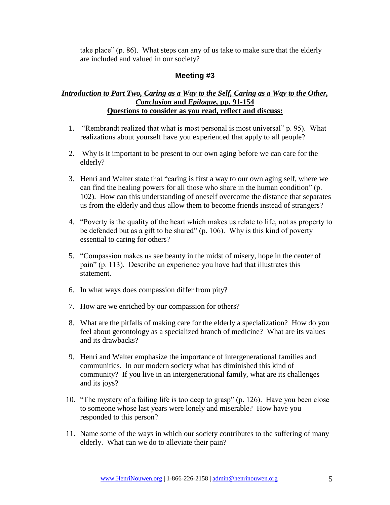take place" (p. 86). What steps can any of us take to make sure that the elderly are included and valued in our society?

#### **Meeting #3**

#### *Introduction to Part Two, Caring as a Way to the Self, Caring as a Way to the Other, Conclusion* **and** *Epilogue,* **pp. 91-154 Questions to consider as you read, reflect and discuss:**

- 1. "Rembrandt realized that what is most personal is most universal" p. 95). What realizations about yourself have you experienced that apply to all people?
- 2. Why is it important to be present to our own aging before we can care for the elderly?
- 3. Henri and Walter state that "caring is first a way to our own aging self, where we can find the healing powers for all those who share in the human condition" (p. 102). How can this understanding of oneself overcome the distance that separates us from the elderly and thus allow them to become friends instead of strangers?
- 4. "Poverty is the quality of the heart which makes us relate to life, not as property to be defended but as a gift to be shared" (p. 106). Why is this kind of poverty essential to caring for others?
- 5. "Compassion makes us see beauty in the midst of misery, hope in the center of pain" (p. 113). Describe an experience you have had that illustrates this statement.
- 6. In what ways does compassion differ from pity?
- 7. How are we enriched by our compassion for others?
- 8. What are the pitfalls of making care for the elderly a specialization? How do you feel about gerontology as a specialized branch of medicine? What are its values and its drawbacks?
- 9. Henri and Walter emphasize the importance of intergenerational families and communities. In our modern society what has diminished this kind of community? If you live in an intergenerational family, what are its challenges and its joys?
- 10. "The mystery of a failing life is too deep to grasp" (p. 126). Have you been close to someone whose last years were lonely and miserable? How have you responded to this person?
- 11. Name some of the ways in which our society contributes to the suffering of many elderly. What can we do to alleviate their pain?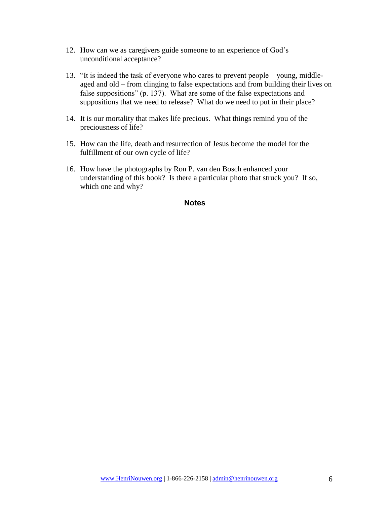- 12. How can we as caregivers guide someone to an experience of God's unconditional acceptance?
- 13. "It is indeed the task of everyone who cares to prevent people young, middleaged and old – from clinging to false expectations and from building their lives on false suppositions" (p. 137). What are some of the false expectations and suppositions that we need to release? What do we need to put in their place?
- 14. It is our mortality that makes life precious. What things remind you of the preciousness of life?
- 15. How can the life, death and resurrection of Jesus become the model for the fulfillment of our own cycle of life?
- 16. How have the photographs by Ron P. van den Bosch enhanced your understanding of this book? Is there a particular photo that struck you? If so, which one and why?

#### **Notes**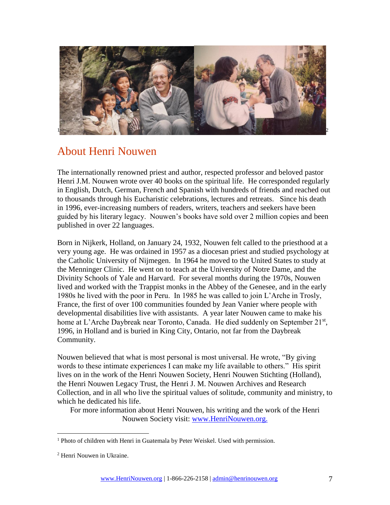

## About Henri Nouwen

The internationally renowned priest and author, respected professor and beloved pastor Henri J.M. Nouwen wrote over 40 books on the spiritual life. He corresponded regularly in English, Dutch, German, French and Spanish with hundreds of friends and reached out to thousands through his Eucharistic celebrations, lectures and retreats. Since his death in 1996, ever-increasing numbers of readers, writers, teachers and seekers have been guided by his literary legacy. Nouwen's books have sold over 2 million copies and been published in over 22 languages.

Born in Nijkerk, Holland, on January 24, 1932, Nouwen felt called to the priesthood at a very young age. He was ordained in 1957 as a diocesan priest and studied psychology at the Catholic University of Nijmegen. In 1964 he moved to the United States to study at the Menninger Clinic. He went on to teach at the University of Notre Dame, and the Divinity Schools of Yale and Harvard. For several months during the 1970s, Nouwen lived and worked with the Trappist monks in the Abbey of the Genesee, and in the early 1980s he lived with the poor in Peru. In 1985 he was called to join L'Arche in Trosly, France, the first of over 100 communities founded by Jean Vanier where people with developmental disabilities live with assistants. A year later Nouwen came to make his home at L'Arche Daybreak near Toronto, Canada. He died suddenly on September 21<sup>st</sup>, 1996, in Holland and is buried in King City, Ontario, not far from the Daybreak Community.

Nouwen believed that what is most personal is most universal. He wrote, "By giving words to these intimate experiences I can make my life available to others." His spirit lives on in the work of the Henri Nouwen Society, Henri Nouwen Stichting (Holland), the Henri Nouwen Legacy Trust, the Henri J. M. Nouwen Archives and Research Collection, and in all who live the spiritual values of solitude, community and ministry, to which he dedicated his life.

For more information about Henri Nouwen, his writing and the work of the Henri Nouwen Society visit: [www.HenriNouwen.org.](http://www.henrinouwen.org/henri/about/)

 $\overline{a}$ 

<sup>&</sup>lt;sup>1</sup> Photo of children with Henri in Guatemala by Peter Weiskel. Used with permission.

<sup>2</sup> Henri Nouwen in Ukraine.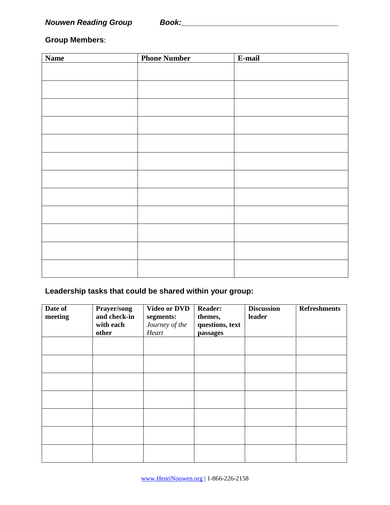### **Group Members**:

| <b>Name</b> | <b>Phone Number</b> | E-mail |
|-------------|---------------------|--------|
|             |                     |        |
|             |                     |        |
|             |                     |        |
|             |                     |        |
|             |                     |        |
|             |                     |        |
|             |                     |        |
|             |                     |        |
|             |                     |        |
|             |                     |        |
|             |                     |        |
|             |                     |        |
|             |                     |        |

### **Leadership tasks that could be shared within your group:**

| Date of<br>meeting | Prayer/song<br>and check-in<br>with each<br>other | <b>Video or DVD</b><br>segments:<br>Journey of the<br>Heart | <b>Reader:</b><br>themes,<br>questions, text<br>passages | <b>Discussion</b><br>leader | <b>Refreshments</b> |
|--------------------|---------------------------------------------------|-------------------------------------------------------------|----------------------------------------------------------|-----------------------------|---------------------|
|                    |                                                   |                                                             |                                                          |                             |                     |
|                    |                                                   |                                                             |                                                          |                             |                     |
|                    |                                                   |                                                             |                                                          |                             |                     |
|                    |                                                   |                                                             |                                                          |                             |                     |
|                    |                                                   |                                                             |                                                          |                             |                     |
|                    |                                                   |                                                             |                                                          |                             |                     |
|                    |                                                   |                                                             |                                                          |                             |                     |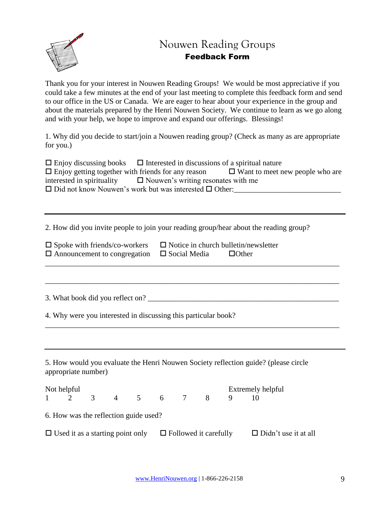

## Nouwen Reading Groups Feedback Form

Thank you for your interest in Nouwen Reading Groups! We would be most appreciative if you could take a few minutes at the end of your last meeting to complete this feedback form and send to our office in the US or Canada. We are eager to hear about your experience in the group and about the materials prepared by the Henri Nouwen Society. We continue to learn as we go along and with your help, we hope to improve and expand our offerings. Blessings!

1. Why did you decide to start/join a Nouwen reading group? (Check as many as are appropriate for you.)

| $\Box$ Enjoy discussing books $\Box$ Interested in discussions of a spiritual nature |                                        |
|--------------------------------------------------------------------------------------|----------------------------------------|
| $\Box$ Enjoy getting together with friends for any reason                            | $\Box$ Want to meet new people who are |
| interested in spirituality $\Box$ Nouwen's writing resonates with me                 |                                        |
| $\Box$ Did not know Nouwen's work but was interested $\Box$ Other:                   |                                        |

\_\_\_\_\_\_\_\_\_\_\_\_\_\_\_\_\_\_\_\_\_\_\_\_\_\_\_\_\_\_\_\_\_\_\_\_\_\_\_\_\_\_\_\_\_\_\_\_\_\_\_\_\_\_\_\_\_\_\_\_\_\_\_\_\_\_\_\_\_\_\_\_\_\_\_\_\_

\_\_\_\_\_\_\_\_\_\_\_\_\_\_\_\_\_\_\_\_\_\_\_\_\_\_\_\_\_\_\_\_\_\_\_\_\_\_\_\_\_\_\_\_\_\_\_\_\_\_\_\_\_\_\_\_\_\_\_\_\_\_\_\_\_\_\_\_\_\_\_\_\_\_\_\_\_

2. How did you invite people to join your reading group/hear about the reading group?

| $\square$ Spoke with friends/co-workers                 | $\Box$ Notice in church bulletin/newsletter |              |
|---------------------------------------------------------|---------------------------------------------|--------------|
| $\Box$ Announcement to congregation $\Box$ Social Media |                                             | $\Box$ Other |
|                                                         |                                             |              |

3. What book did you reflect on?

4. Why were you interested in discussing this particular book?

5. How would you evaluate the Henri Nouwen Society reflection guide? (please circle appropriate number)

| Not helpful |                                                                      |  |  | Extremely helpful           |
|-------------|----------------------------------------------------------------------|--|--|-----------------------------|
| $1 \t 2$    | 3 4 5 6 7 8                                                          |  |  |                             |
|             | 6. How was the reflection guide used?                                |  |  |                             |
|             | $\Box$ Used it as a starting point only $\Box$ Followed it carefully |  |  | $\Box$ Didn't use it at all |